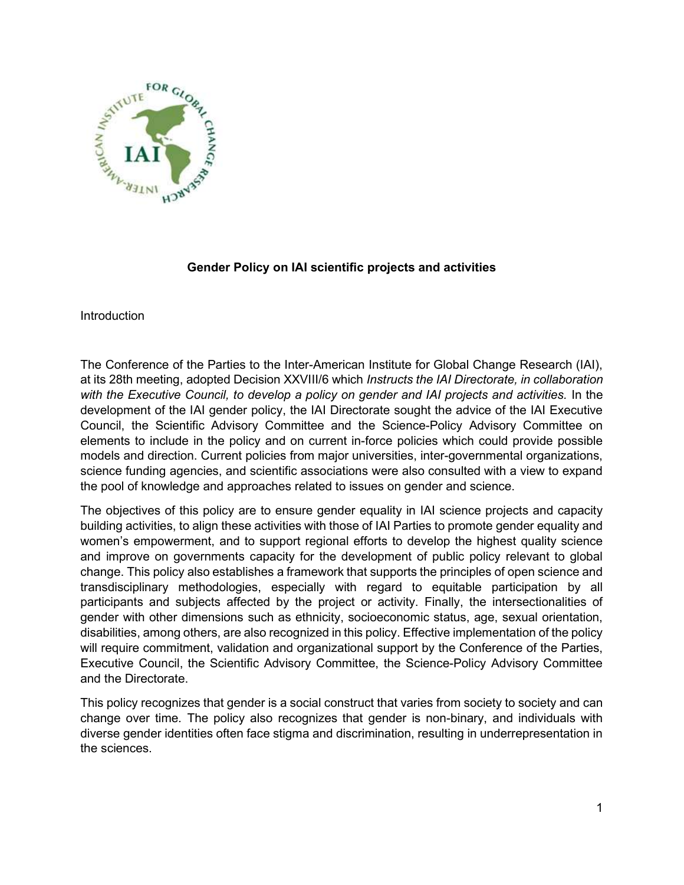

# Gender Policy on IAI scientific projects and activities

Introduction

The Conference of the Parties to the Inter-American Institute for Global Change Research (IAI), at its 28th meeting, adopted Decision XXVIII/6 which Instructs the IAI Directorate, in collaboration with the Executive Council, to develop a policy on gender and IAI projects and activities. In the development of the IAI gender policy, the IAI Directorate sought the advice of the IAI Executive Council, the Scientific Advisory Committee and the Science-Policy Advisory Committee on elements to include in the policy and on current in-force policies which could provide possible models and direction. Current policies from major universities, inter-governmental organizations, science funding agencies, and scientific associations were also consulted with a view to expand the pool of knowledge and approaches related to issues on gender and science.

The objectives of this policy are to ensure gender equality in IAI science projects and capacity building activities, to align these activities with those of IAI Parties to promote gender equality and women's empowerment, and to support regional efforts to develop the highest quality science and improve on governments capacity for the development of public policy relevant to global change. This policy also establishes a framework that supports the principles of open science and transdisciplinary methodologies, especially with regard to equitable participation by all participants and subjects affected by the project or activity. Finally, the intersectionalities of gender with other dimensions such as ethnicity, socioeconomic status, age, sexual orientation, disabilities, among others, are also recognized in this policy. Effective implementation of the policy will require commitment, validation and organizational support by the Conference of the Parties, Executive Council, the Scientific Advisory Committee, the Science-Policy Advisory Committee and the Directorate.

This policy recognizes that gender is a social construct that varies from society to society and can change over time. The policy also recognizes that gender is non-binary, and individuals with diverse gender identities often face stigma and discrimination, resulting in underrepresentation in the sciences.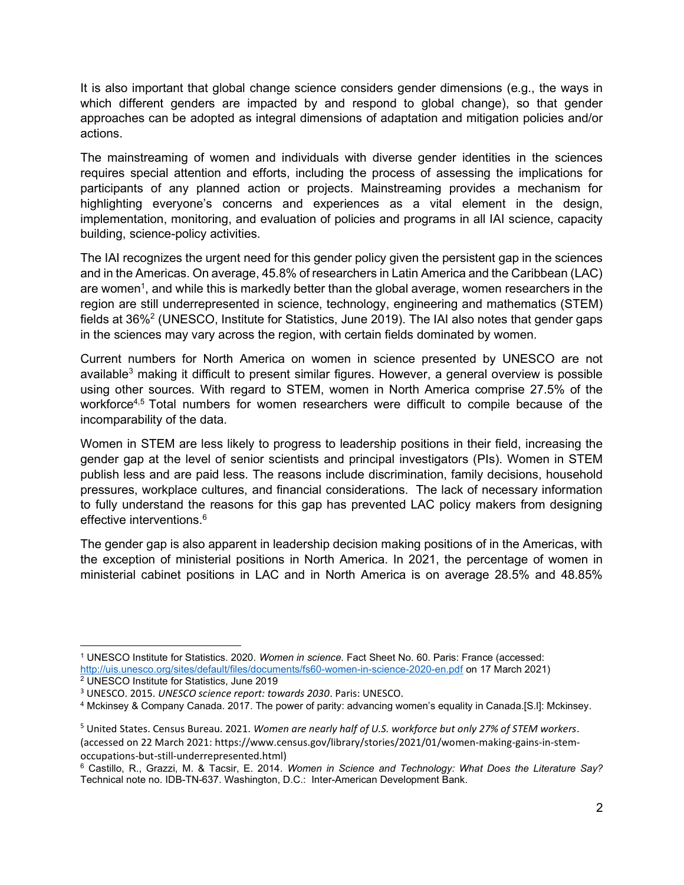It is also important that global change science considers gender dimensions (e.g., the ways in which different genders are impacted by and respond to global change), so that gender approaches can be adopted as integral dimensions of adaptation and mitigation policies and/or actions.

The mainstreaming of women and individuals with diverse gender identities in the sciences requires special attention and efforts, including the process of assessing the implications for participants of any planned action or projects. Mainstreaming provides a mechanism for highlighting everyone's concerns and experiences as a vital element in the design, implementation, monitoring, and evaluation of policies and programs in all IAI science, capacity building, science-policy activities.

The IAI recognizes the urgent need for this gender policy given the persistent gap in the sciences and in the Americas. On average, 45.8% of researchers in Latin America and the Caribbean (LAC) are women<sup>1</sup>, and while this is markedly better than the global average, women researchers in the region are still underrepresented in science, technology, engineering and mathematics (STEM) fields at 36%<sup>2</sup> (UNESCO, Institute for Statistics, June 2019). The IAI also notes that gender gaps in the sciences may vary across the region, with certain fields dominated by women.

Current numbers for North America on women in science presented by UNESCO are not available<sup>3</sup> making it difficult to present similar figures. However, a general overview is possible using other sources. With regard to STEM, women in North America comprise 27.5% of the workforce<sup>4,5</sup> Total numbers for women researchers were difficult to compile because of the incomparability of the data.

Women in STEM are less likely to progress to leadership positions in their field, increasing the gender gap at the level of senior scientists and principal investigators (PIs). Women in STEM publish less and are paid less. The reasons include discrimination, family decisions, household pressures, workplace cultures, and financial considerations. The lack of necessary information to fully understand the reasons for this gap has prevented LAC policy makers from designing effective interventions.<sup>6</sup>

The gender gap is also apparent in leadership decision making positions of in the Americas, with the exception of ministerial positions in North America. In 2021, the percentage of women in ministerial cabinet positions in LAC and in North America is on average 28.5% and 48.85%

<sup>&</sup>lt;sup>1</sup> UNESCO Institute for Statistics. 2020. Women in science. Fact Sheet No. 60. Paris: France (accessed: http://uis.unesco.org/sites/default/files/documents/fs60-women-in-science-2020-en.pdf on 17 March 2021) 2 UNESCO Institute for Statistics, June 2019

<sup>&</sup>lt;sup>3</sup> UNESCO. 2015. UNESCO science report: towards 2030. Paris: UNESCO.

<sup>4</sup> Mckinsey & Company Canada. 2017. The power of parity: advancing women's equality in Canada.[S.l]: Mckinsey.

<sup>&</sup>lt;sup>5</sup> United States. Census Bureau. 2021. Women are nearly half of U.S. workforce but only 27% of STEM workers. (accessed on 22 March 2021: https://www.census.gov/library/stories/2021/01/women-making-gains-in-stemoccupations-but-still-underrepresented.html)

<sup>&</sup>lt;sup>6</sup> Castillo, R., Grazzi, M. & Tacsir, E. 2014. Women in Science and Technology: What Does the Literature Say? Technical note no. IDB-TN-637. Washington, D.C.: Inter-American Development Bank.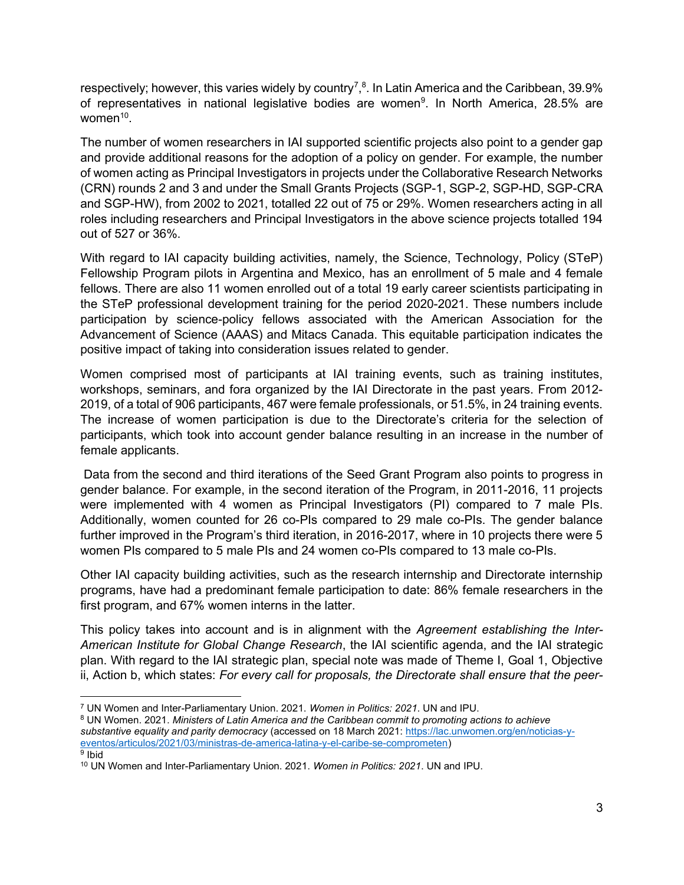respectively; however, this varies widely by country<sup>7</sup>,<sup>8</sup>. In Latin America and the Caribbean, 39.9% of representatives in national legislative bodies are women<sup>9</sup>. In North America, 28.5% are women<sup>10</sup>.

The number of women researchers in IAI supported scientific projects also point to a gender gap and provide additional reasons for the adoption of a policy on gender. For example, the number of women acting as Principal Investigators in projects under the Collaborative Research Networks (CRN) rounds 2 and 3 and under the Small Grants Projects (SGP-1, SGP-2, SGP-HD, SGP-CRA and SGP-HW), from 2002 to 2021, totalled 22 out of 75 or 29%. Women researchers acting in all roles including researchers and Principal Investigators in the above science projects totalled 194 out of 527 or 36%.

With regard to IAI capacity building activities, namely, the Science, Technology, Policy (STeP) Fellowship Program pilots in Argentina and Mexico, has an enrollment of 5 male and 4 female fellows. There are also 11 women enrolled out of a total 19 early career scientists participating in the STeP professional development training for the period 2020-2021. These numbers include participation by science-policy fellows associated with the American Association for the Advancement of Science (AAAS) and Mitacs Canada. This equitable participation indicates the positive impact of taking into consideration issues related to gender.

Women comprised most of participants at IAI training events, such as training institutes, workshops, seminars, and fora organized by the IAI Directorate in the past years. From 2012- 2019, of a total of 906 participants, 467 were female professionals, or 51.5%, in 24 training events. The increase of women participation is due to the Directorate's criteria for the selection of participants, which took into account gender balance resulting in an increase in the number of female applicants.

 Data from the second and third iterations of the Seed Grant Program also points to progress in gender balance. For example, in the second iteration of the Program, in 2011-2016, 11 projects were implemented with 4 women as Principal Investigators (PI) compared to 7 male PIs. Additionally, women counted for 26 co-PIs compared to 29 male co-PIs. The gender balance further improved in the Program's third iteration, in 2016-2017, where in 10 projects there were 5 women PIs compared to 5 male PIs and 24 women co-PIs compared to 13 male co-PIs.

Other IAI capacity building activities, such as the research internship and Directorate internship programs, have had a predominant female participation to date: 86% female researchers in the first program, and 67% women interns in the latter.

This policy takes into account and is in alignment with the Agreement establishing the Inter-American Institute for Global Change Research, the IAI scientific agenda, and the IAI strategic plan. With regard to the IAI strategic plan, special note was made of Theme I, Goal 1, Objective ii, Action b, which states: For every call for proposals, the Directorate shall ensure that the peer-

<sup>&</sup>lt;sup>7</sup> UN Women and Inter-Parliamentary Union. 2021. Women in Politics: 2021. UN and IPU.

<sup>&</sup>lt;sup>8</sup> UN Women. 2021. Ministers of Latin America and the Caribbean commit to promoting actions to achieve substantive equality and parity democracy (accessed on 18 March 2021: https://lac.unwomen.org/en/noticias-yeventos/articulos/2021/03/ministras-de-america-latina-y-el-caribe-se-comprometen) <sup>9</sup> Ibid

<sup>&</sup>lt;sup>10</sup> UN Women and Inter-Parliamentary Union. 2021. Women in Politics: 2021. UN and IPU.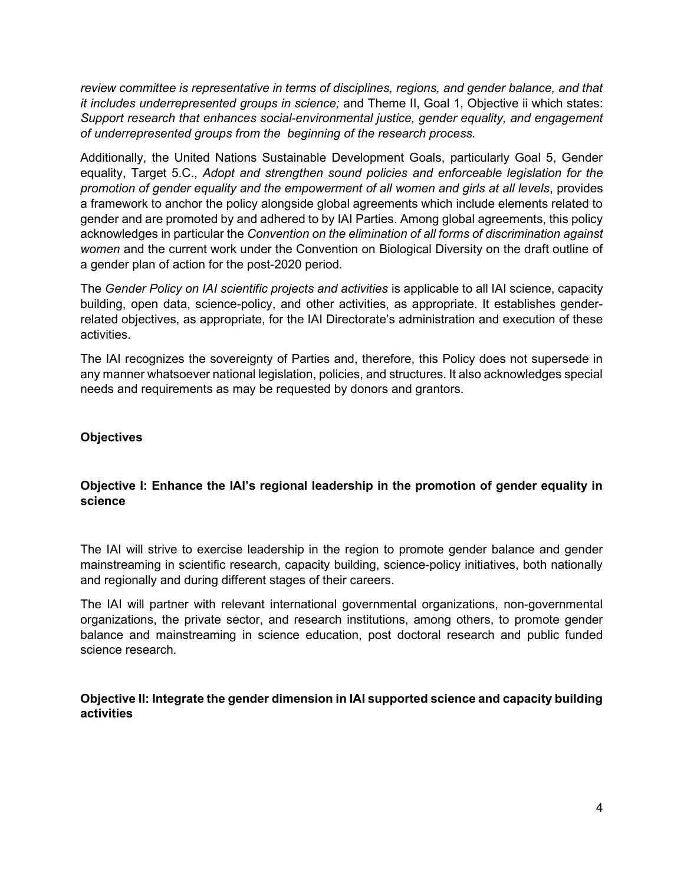review committee is representative in terms of disciplines, regions, and gender balance, and that it includes underrepresented groups in science; and Theme II, Goal 1, Objective ii which states: Support research that enhances social-environmental justice, gender equality, and engagement of underrepresented groups from the beginning of the research process.

Additionally, the United Nations Sustainable Development Goals, particularly Goal 5, Gender equality, Target 5.C., Adopt and strengthen sound policies and enforceable legislation for the promotion of gender equality and the empowerment of all women and girls at all levels, provides a framework to anchor the policy alongside global agreements which include elements related to gender and are promoted by and adhered to by IAI Parties. Among global agreements, this policy acknowledges in particular the Convention on the elimination of all forms of discrimination against women and the current work under the Convention on Biological Diversity on the draft outline of a gender plan of action for the post-2020 period.

The Gender Policy on IAI scientific projects and activities is applicable to all IAI science, capacity building, open data, science-policy, and other activities, as appropriate. It establishes genderrelated objectives, as appropriate, for the IAI Directorate's administration and execution of these activities.

The IAI recognizes the sovereignty of Parties and, therefore, this Policy does not supersede in any manner whatsoever national legislation, policies, and structures. It also acknowledges special needs and requirements as may be requested by donors and grantors.

#### **Objectives**

## Objective I: Enhance the IAI's regional leadership in the promotion of gender equality in science

The IAI will strive to exercise leadership in the region to promote gender balance and gender mainstreaming in scientific research, capacity building, science-policy initiatives, both nationally and regionally and during different stages of their careers.

The IAI will partner with relevant international governmental organizations, non-governmental organizations, the private sector, and research institutions, among others, to promote gender balance and mainstreaming in science education, post doctoral research and public funded science research.

Objective II: Integrate the gender dimension in IAI supported science and capacity building activities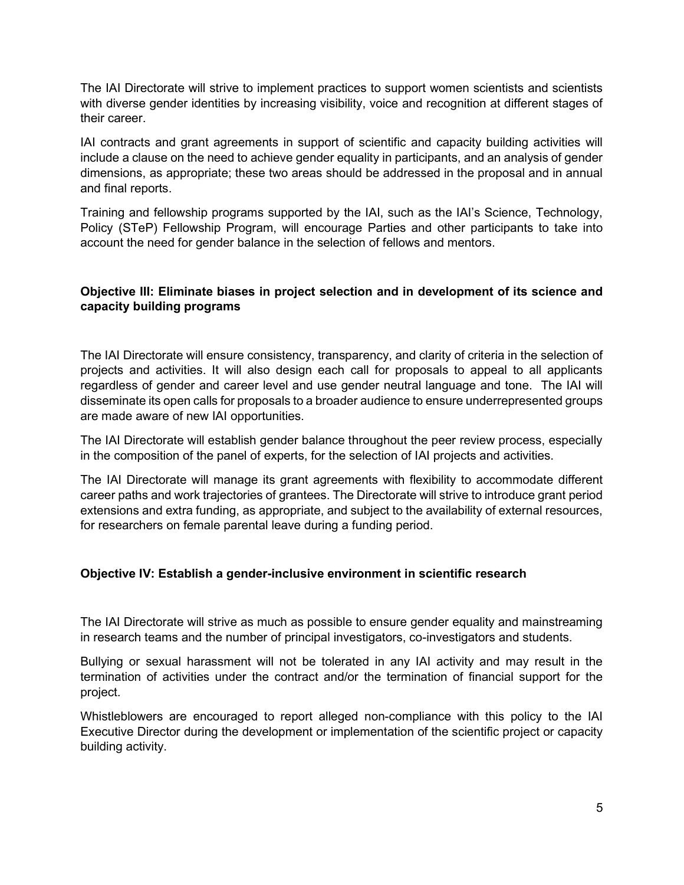The IAI Directorate will strive to implement practices to support women scientists and scientists with diverse gender identities by increasing visibility, voice and recognition at different stages of their career.

IAI contracts and grant agreements in support of scientific and capacity building activities will include a clause on the need to achieve gender equality in participants, and an analysis of gender dimensions, as appropriate; these two areas should be addressed in the proposal and in annual and final reports.

Training and fellowship programs supported by the IAI, such as the IAI's Science, Technology, Policy (STeP) Fellowship Program, will encourage Parties and other participants to take into account the need for gender balance in the selection of fellows and mentors.

## Objective III: Eliminate biases in project selection and in development of its science and capacity building programs

The IAI Directorate will ensure consistency, transparency, and clarity of criteria in the selection of projects and activities. It will also design each call for proposals to appeal to all applicants regardless of gender and career level and use gender neutral language and tone. The IAI will disseminate its open calls for proposals to a broader audience to ensure underrepresented groups are made aware of new IAI opportunities.

The IAI Directorate will establish gender balance throughout the peer review process, especially in the composition of the panel of experts, for the selection of IAI projects and activities.

The IAI Directorate will manage its grant agreements with flexibility to accommodate different career paths and work trajectories of grantees. The Directorate will strive to introduce grant period extensions and extra funding, as appropriate, and subject to the availability of external resources, for researchers on female parental leave during a funding period.

#### Objective IV: Establish a gender-inclusive environment in scientific research

The IAI Directorate will strive as much as possible to ensure gender equality and mainstreaming in research teams and the number of principal investigators, co-investigators and students.

Bullying or sexual harassment will not be tolerated in any IAI activity and may result in the termination of activities under the contract and/or the termination of financial support for the project.

Whistleblowers are encouraged to report alleged non-compliance with this policy to the IAI Executive Director during the development or implementation of the scientific project or capacity building activity.